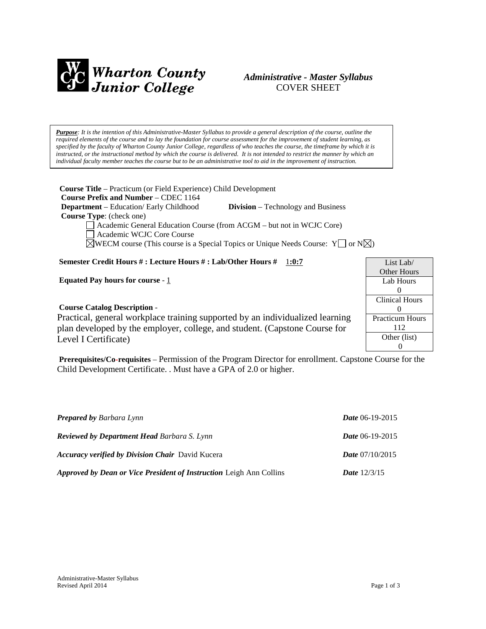

# *Administrative - Master Syllabus*  COVER SHEET

*Purpose: It is the intention of this Administrative-Master Syllabus to provide a general description of the course, outline the required elements of the course and to lay the foundation for course assessment for the improvement of student learning, as specified by the faculty of Wharton County Junior College, regardless of who teaches the course, the timeframe by which it is instructed, or the instructional method by which the course is delivered. It is not intended to restrict the manner by which an individual faculty member teaches the course but to be an administrative tool to aid in the improvement of instruction.*

**Course Title** – Practicum (or Field Experience) Child Development  **Course Prefix and Number** – CDEC 1164  **Department** – Education/ Early Childhood **Division** – Technology and Business  **Course Type**: (check one) Academic General Education Course (from ACGM – but not in WCJC Core) Academic WCJC Core Course

 $\boxtimes$ WECM course (This course is a Special Topics or Unique Needs Course: Y or N $\boxtimes$ )

### **Semester Credit Hours # : Lecture Hours # : Lab/Other Hours #** 1**:0:7**

**Equated Pay hours for course** - 1

### **Course Catalog Description** -

List Lab/ Other Hours Lab Hours  $\Omega$ Clinical Hours  $\Omega$ Practicum Hours 112 Other (list) 0

Practical, general workplace training supported by an individualized learning plan developed by the employer, college, and student. (Capstone Course for Level I Certificate)

**Prerequisites/Co-requisites** – Permission of the Program Director for enrollment. Capstone Course for the Child Development Certificate. . Must have a GPA of 2.0 or higher.

| <b>Prepared by Barbara Lynn</b>                                            | Date 06-19-2015          |
|----------------------------------------------------------------------------|--------------------------|
| <b>Reviewed by Department Head Barbara S. Lynn</b>                         | <b>Date</b> 06-19-2015   |
| <b>Accuracy verified by Division Chair</b> David Kucera                    | <i>Date</i> $07/10/2015$ |
| <b>Approved by Dean or Vice President of Instruction Leigh Ann Collins</b> | <b>Date</b> $12/3/15$    |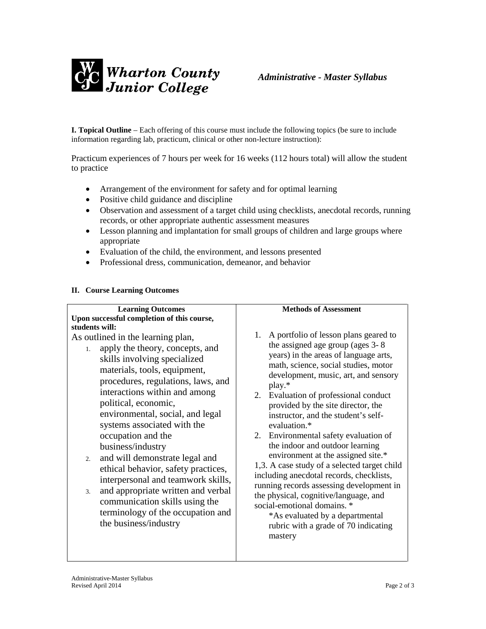

**I. Topical Outline** – Each offering of this course must include the following topics (be sure to include information regarding lab, practicum, clinical or other non-lecture instruction):

Practicum experiences of 7 hours per week for 16 weeks (112 hours total) will allow the student to practice

- Arrangement of the environment for safety and for optimal learning
- Positive child guidance and discipline
- Observation and assessment of a target child using checklists, anecdotal records, running records, or other appropriate authentic assessment measures
- Lesson planning and implantation for small groups of children and large groups where appropriate
- Evaluation of the child, the environment, and lessons presented
- Professional dress, communication, demeanor, and behavior

### **II. Course Learning Outcomes**

| <b>Learning Outcomes</b>                                                                                                                                                                                                                                                                                                                                                                                                                                                                                                                                                                                                                   | <b>Methods of Assessment</b>                                                                                                                                                                                                                                                                                                                                                                                                                                                                                                                                                                                                                                                                                                                                                           |
|--------------------------------------------------------------------------------------------------------------------------------------------------------------------------------------------------------------------------------------------------------------------------------------------------------------------------------------------------------------------------------------------------------------------------------------------------------------------------------------------------------------------------------------------------------------------------------------------------------------------------------------------|----------------------------------------------------------------------------------------------------------------------------------------------------------------------------------------------------------------------------------------------------------------------------------------------------------------------------------------------------------------------------------------------------------------------------------------------------------------------------------------------------------------------------------------------------------------------------------------------------------------------------------------------------------------------------------------------------------------------------------------------------------------------------------------|
| Upon successful completion of this course,                                                                                                                                                                                                                                                                                                                                                                                                                                                                                                                                                                                                 |                                                                                                                                                                                                                                                                                                                                                                                                                                                                                                                                                                                                                                                                                                                                                                                        |
| students will:<br>As outlined in the learning plan,<br>apply the theory, concepts, and<br>1.<br>skills involving specialized<br>materials, tools, equipment,<br>procedures, regulations, laws, and<br>interactions within and among<br>political, economic,<br>environmental, social, and legal<br>systems associated with the<br>occupation and the<br>business/industry<br>and will demonstrate legal and<br>2.<br>ethical behavior, safety practices,<br>interpersonal and teamwork skills,<br>and appropriate written and verbal<br>3.<br>communication skills using the<br>terminology of the occupation and<br>the business/industry | A portfolio of lesson plans geared to<br>1.<br>the assigned age group (ages 3-8)<br>years) in the areas of language arts,<br>math, science, social studies, motor<br>development, music, art, and sensory<br>$play.*$<br>Evaluation of professional conduct<br>2.<br>provided by the site director, the<br>instructor, and the student's self-<br>evaluation.*<br>2. Environmental safety evaluation of<br>the indoor and outdoor learning<br>environment at the assigned site.*<br>1,3. A case study of a selected target child<br>including anecdotal records, checklists,<br>running records assessing development in<br>the physical, cognitive/language, and<br>social-emotional domains. *<br>*As evaluated by a departmental<br>rubric with a grade of 70 indicating<br>mastery |
|                                                                                                                                                                                                                                                                                                                                                                                                                                                                                                                                                                                                                                            |                                                                                                                                                                                                                                                                                                                                                                                                                                                                                                                                                                                                                                                                                                                                                                                        |